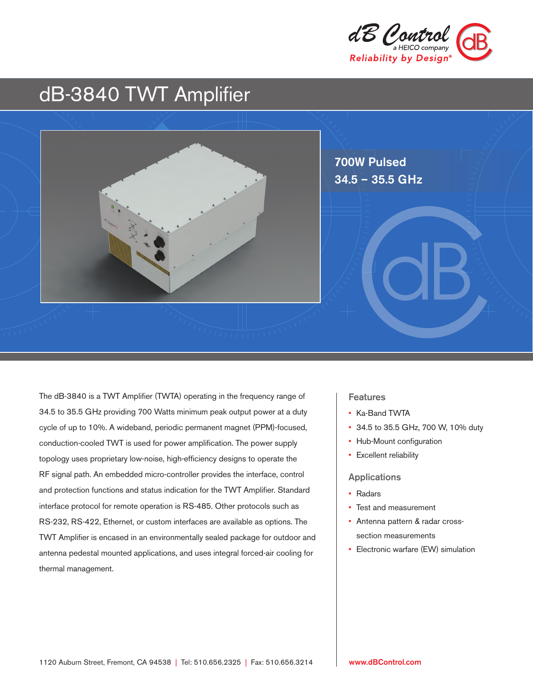

# dB-3840 TWT Amplifier



The dB-3840 is a TWT Amplifier (TWTA) operating in the frequency range of 34.5 to 35.5 GHz providing 700 Watts minimum peak output power at a duty cycle of up to 10%. A wideband, periodic permanent magnet (PPM)-focused, conduction-cooled TWT is used for power amplification. The power supply topology uses proprietary low-noise, high-efficiency designs to operate the RF signal path. An embedded micro-controller provides the interface, control and protection functions and status indication for the TWT Amplifier. Standard interface protocol for remote operation is RS-485. Other protocols such as RS-232, RS-422, Ethernet, or custom interfaces are available as options. The TWT Amplifier is encased in an environmentally sealed package for outdoor and antenna pedestal mounted applications, and uses integral forced-air cooling for thermal management.

#### **Features**

- Ka-Band TWTA
- 34.5 to 35.5 GHz, 700 W, 10% duty
- Hub-Mount configuration
- Excellent reliability

#### Applications

- Radars
- Test and measurement
- Antenna pattern & radar crosssection measurements
- Electronic warfare (EW) simulation